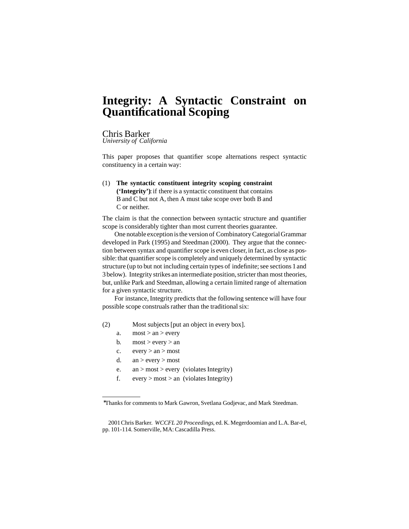# **Integrity: A Syntactic Constraint on Quantificational Scoping**

#### Chris Barker

*University of California*

This paper proposes that quantifier scope alternations respect syntactic constituency in a certain way:

**The syntactic constituent integrity scoping constraint** (1) (**'Integrity'**): if there is a syntactic constituent that contains B and C but not A, then A must take scope over both B and C or neither.

The claim is that the connection between syntactic structure and quantifier scope is considerably tighter than most current theories guarantee.

One notable exception isthe version of CombinatoryCategorialGrammar developed in Park (1995) and Steedman (2000). They argue that the connection between syntax and quantifier scope is even closer, in fact, as close as possible: that quantifier scope is completely and uniquely determined by syntactic structure (up to but not including certain types of indefinite; see sections 1 and 3 below). Integrity strikes an intermediate position, stricter than most theories, but, unlike Park and Steedman, allowing a certain limited range of alternation for a given syntactic structure.

For instance, Integrity predicts that the following sentence will have four possible scope construals rather than the traditional six:

- Most subjects[put an object in every box]. (2)
	- a.  $\text{most} > \text{an} > \text{every}$
	- b.  $most > every > an$
	- c.  $every > an > most$
	- d.  $an > every > most$
	- e. an  $>$  most  $>$  every (violates Integrity)
	- f. every > most > an (violates Integrity)

<sup>∗</sup>Thanks for comments to Mark Gawron, Svetlana Godjevac, and Mark Steedman.

2001Chris Barker. *WCCFL 20 Proceedings*, ed. K. Megerdoomian and L.A.Bar-el, pp. 101-114. Somerville, MA:Cascadilla Press.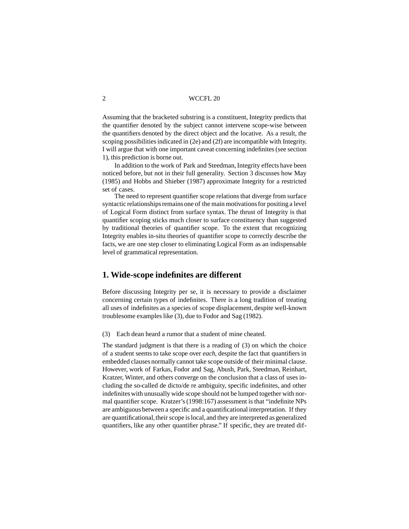Assuming that the bracketed substring is a constituent, Integrity predicts that the quantifier denoted by the subject cannot intervene scope-wise between the quantifiers denoted by the direct object and the locative. As a result, the scoping possibilities indicated in (2e) and (2f) are incompatible with Integrity. I will argue that with one important caveat concerning indefinites(see section 1), this prediction is borne out.

In addition to the work of Park and Steedman, Integrity effects have been noticed before, but not in their full generality. Section 3 discusses how May (1985) and Hobbs and Shieber (1987) approximate Integrity for a restricted set of cases.

The need to represent quantifier scope relations that diverge from surface syntactic relationships remains one of the main motivations for positing a level of Logical Form distinct from surface syntax. The thrust of Integrity is that quantifier scoping sticks much closer to surface constituency than suggested by traditional theories of quantifier scope. To the extent that recognizing Integrity enables in-situ theories of quantifier scope to correctly describe the facts, we are one step closer to eliminating Logical Form as an indispensable level of grammatical representation.

#### **1. Wide-scope indefinites are different**

Before discussing Integrity per se, it is necessary to provide a disclaimer concerning certain types of indefinites. There is a long tradition of treating all uses of indefinites as a species of scope displacement, despite well-known troublesome exampleslike (3), due to Fodor and Sag (1982).

(3) Each dean heard a rumor that a student of mine cheated.

The standard judgment is that there is a reading of (3) on which the choice of a student seems to take scope over *each*, despite the fact that quantifiers in embedded clauses normally cannot take scope outside of their minimal clause. However, work of Farkas, Fodor and Sag, Abush, Park, Steedman, Reinhart, Kratzer, Winter, and others converge on the conclusion that a class of uses including the so-called de dicto/de re ambiguity, specific indefinites, and other indefinites with unusually wide scope should not be lumped together with normal quantifier scope. Kratzer's(1998:167) assessment is that "indefinite NPs are ambiguous between a specific and a quantificationalinterpretation. If they are quantificational, their scope is local, and they are interpreted as generalized quantifiers, like any other quantifier phrase." If specific, they are treated dif-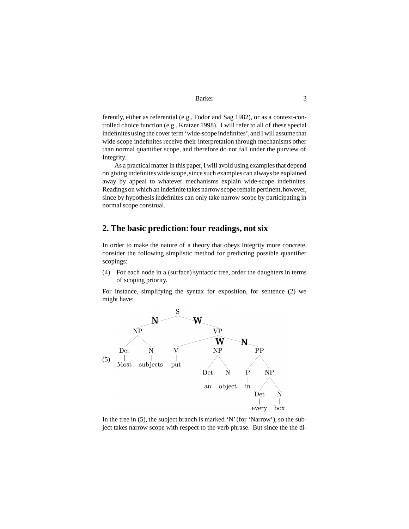ferently, either as referential (e.g., Fodor and Sag 1982), or as a context-controlled choice function (e.g., Kratzer 1998). I will refer to all of these special indefinites using the cover term 'wide-scope indefinites', and I will assume that wide-scope indefinites receive their interpretation through mechanisms other than normal quantifier scope, and therefore do not fall under the purview of Integrity.

As a practical matter in this paper, I will avoid using examples that depend on giving indefinites wide scope, since such examples can always be explained away by appeal to whatever mechanisms explain wide-scope indefinites. Readings on which an indefinite takes narrow scope remain pertinent, however, since by hypothesis indefinites can only take narrow scope by participating in normal scope construal.

## **2. The basic prediction:four readings, not six**

In order to make the nature of a theory that obeys Integrity more concrete, consider the following simplistic method for predicting possible quantifier scopings:

(4) For each node in a (surface) syntactic tree, order the daughters in terms of scoping priority.

For instance, simplifying the syntax for exposition, for sentence (2) we might have:



In the tree in  $(5)$ , the subject branch is marked 'N' (for 'Narrow'), so the subject takes narrow scope with respect to the verb phrase. But since the the di-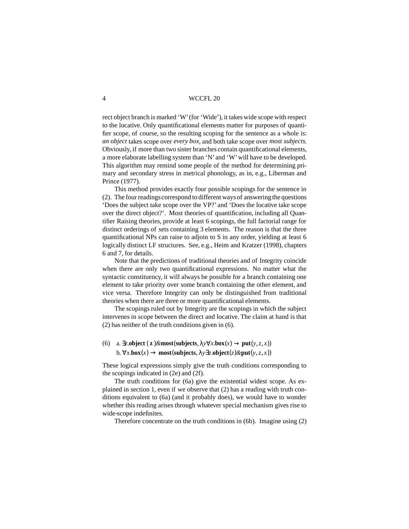4 WCCFL 20

rect object branch is marked 'W' (for 'Wide'), it takes wide scope with respect to the locative. Only quantificational elements matter for purposes of quantifier scope, of course, so the resulting scoping for the sentence as a whole is: *an object* takes scope over *every box*, and both take scope over *most subjects*. Obviously, if more than two sister branches contain quantificational elements, a more elaborate labelling system than 'N' and 'W'will have to be developed. This algorithm may remind some people of the method for determining primary and secondary stress in metrical phonology, as in, e.g., Liberman and Prince (1977).

This method provides exactly four possible scopings for the sentence in (2). The four readings correspond to different ways of answering the questions 'Does the subject take scope over the VP?' and 'Does the locative take scope over the direct object?'. Most theories of quantification, including all Quantifier Raising theories, provide at least 6 scopings, the full factorial range for distinct orderings of sets containing 3 elements. The reason is that the three quantificational NPs can raise to adjoin to S in any order, yielding at least 6 logically distinct LF structures. See, e.g., Heim and Kratzer (1998), chapters 6 and 7, for details.

Note that the predictions of traditional theories and of Integrity coincide when there are only two quantificational expressions. No matter what the syntactic constituency, it will always be possible for a branch containing one element to take priority over some branch containing the other element, and vice versa. Therefore Integrity can only be distinguished from traditional theories when there are three or more quantificational elements.

The scopings ruled out by Integrity are the scopings in which the subject intervenes in scope between the direct and locative. The claim at hand is that (2) has neither of the truth conditions given in (6).

```
(6) a. \exists z.\text{object}(z) \& \text{most}(\text{subjects}, \lambda y \forall x.\text{box}(x) \rightarrow \text{put}(y, z, x))\mathbf{b} \cdot \forall x.\mathbf{box}(x) \rightarrow \mathbf{most}(\mathbf{subjects}, \lambda \forall \exists z.\mathbf{object}(z) \& \mathbf{put}(y, z, x))
```
These logical expressions simply give the truth conditions corresponding to the scopings indicated in (2e) and (2f).

The truth conditions for (6a) give the existential widest scope. As explained in section 1, even if we observe that (2) has a reading with truth conditions equivalent to (6a) (and it probably does), we would have to wonder whether this reading arises through whatever special mechanism gives rise to wide-scope indefinites.

Therefore concentrate on the truth conditions in (6b). Imagine using (2)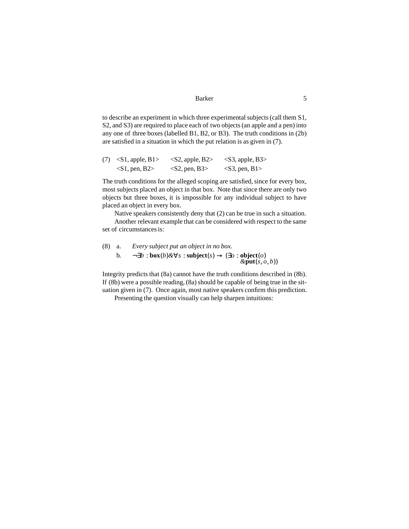to describe an experiment in which three experimental subjects (call them S1, S2, and S3) are required to place each of two objects(an apple and a pen) into any one of three boxes (labelled B1, B2, or B3). The truth conditions in (2b) are satisfied in a situation in which the put relation is as given in (7).

|  | $(7)$ < S1, apple, B1> | $\langle$ S2, apple, B2 $>$ | $<$ S3, apple, B3> |
|--|------------------------|-----------------------------|--------------------|
|  | $\langle$ S1, pen, B2> | $<$ S2, pen, B3>            | $<$ S3, pen, B1>   |

The truth conditions for the alleged scoping are satisfied, since for every box, most subjects placed an object in that box. Note that since there are only two objects but three boxes, it is impossible for any individual subject to have placed an object in every box.

Native speakers consistently deny that (2) can be true in such a situation.

Another relevant example that can be considered with respect to the same set of circumstances is:

\n- (8) a. Every subject put an object in no box.
\n- b. 
$$
\neg \exists b : \mathbf{box}(b) \& \forall s : \mathbf{subject}(s) \rightarrow (\exists o : \mathbf{object}(o) \& \mathbf{put}(s, o, b))
$$
\n

Integrity predicts that (8a) cannot have the truth conditions described in (8b). If  $(8b)$  were a possible reading,  $(8a)$  should be capable of being true in the situation given in (7). Once again, most native speakers confirm this prediction.

Presenting the question visually can help sharpen intuitions: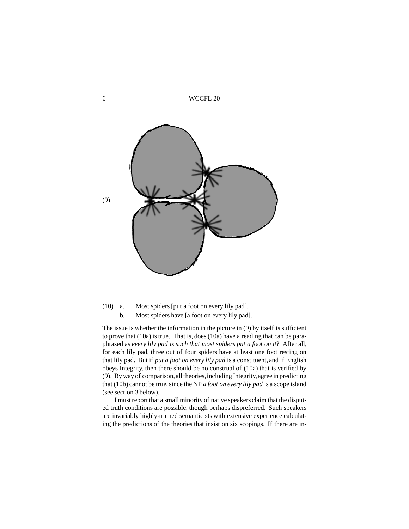6 WCCFL 20



Most spiders [put a foot on every lily pad]. b. Most spiders have [a foot on every lily pad].  $(10)$  a.

The issue is whether the information in the picture in (9) by itself is sufficient to prove that (10a) is true. That is, does (10a) have a reading that can be paraphrased as *every lily pad is such that most spiders put a foot on it*? After all, for each lily pad, three out of four spiders have at least one foot resting on that lily pad. But if *put a foot on every lily pad* is a constituent, and if English obeys Integrity, then there should be no construal of (10a) that is verified by (9). By way of comparison,alltheories,including Integrity,agree in predicting that (10b) cannot be true, since the NP *a foot on every lily pad* is a scope island (see section 3 below).

I must report that a small minority of native speakers claim that the disputed truth conditions are possible, though perhaps dispreferred. Such speakers are invariably highly-trained semanticists with extensive experience calculating the predictions of the theories that insist on six scopings. If there are in-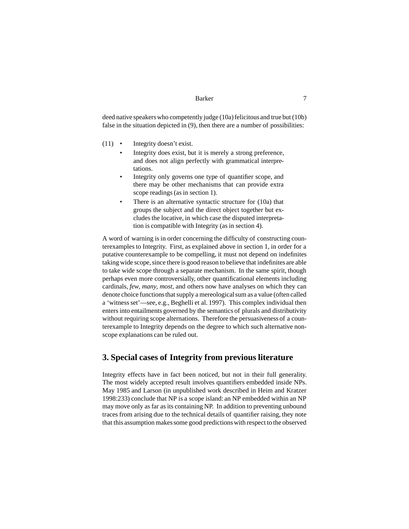deed native speakers who competently judge (10a) felicitous and true but (10b) false in the situation depicted in  $(9)$ , then there are a number of possibilities:

- Integrity doesn't exist.  $(11)$   $\bullet$ 
	- Integrity does exist, but it is merely a strong preference, and does not align perfectly with grammatical interpretations.
	- Integrity only governs one type of quantifier scope, and there may be other mechanisms that can provide extra scope readings(as in section 1).
	- There is an alternative syntactic structure for (10a) that groups the subject and the direct object together but excludes the locative, in which case the disputed interpretation is compatible with Integrity (as in section 4).

A word of warning is in order concerning the difficulty of constructing counterexamples to Integrity. First, as explained above in section 1, in order for a putative counterexample to be compelling, it must not depend on indefinites taking wide scope, since there is good reason to believe that indefinites are able to take wide scope through a separate mechanism. In the same spirit, though perhaps even more controversially, other quantificational elements including cardinals, *few*, *many*, *most*, and others now have analyses on which they can denote choice functions that supply a mereological sum as a value (often called a 'witnessset'—see, e.g., Beghelli et al. 1997). This complex individual then entersinto entailments governed by the semantics of plurals and distributivity without requiring scope alternations. Therefore the persuasiveness of a counterexample to Integrity depends on the degree to which such alternative nonscope explanations can be ruled out.

# **3. Special cases of Integrity from previous literature**

Integrity effects have in fact been noticed, but not in their full generality. The most widely accepted result involves quantifiers embedded inside NPs. May 1985 and Larson (in unpublished work described in Heim and Kratzer 1998:233) conclude that NP is a scope island: an NP embedded within an NP may move only as far as its containing NP. In addition to preventing unbound traces from arising due to the technical details of quantifier raising, they note that this assumption makes some good predictions with respect to the observed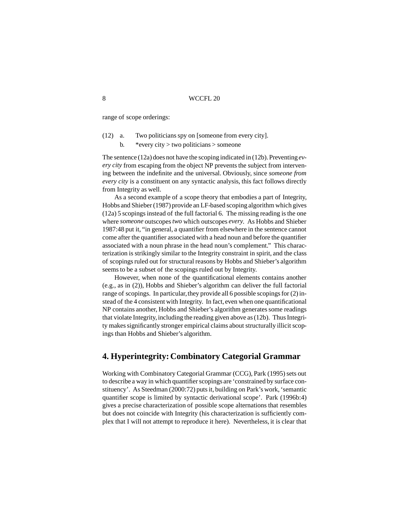range of scope orderings:

- Two politicians spy on [someone from every city].  $(12)$  a.
	- b. \* every city  $>$  two politicians  $>$  someone

The sentence (12a) does not have the scoping indicated in (12b). Preventing  $ev$ *ery city* from escaping from the object NP prevents the subject from intervening between the indefinite and the universal. Obviously, since *someone from every city* is a constituent on any syntactic analysis, this fact follows directly from Integrity as well.

As a second example of a scope theory that embodies a part of Integrity, Hobbs and Shieber (1987) provide an LF-based scoping algorithm which gives  $(12a)$  5 scopings instead of the full factorial 6. The missing reading is the one where *someone* outscopes*two* which outscopes *every*. As Hobbs and Shieber 1987:48 put it, "in general, a quantifier from elsewhere in the sentence cannot come after the quantifier associated with a head noun and before the quantifier associated with a noun phrase in the head noun's complement." This characterization isstrikingly similar to the Integrity constraint in spirit, and the class of scopingsruled out for structural reasons by Hobbs and Shieber's algorithm seemsto be a subset of the scopings ruled out by Integrity.

However, when none of the quantificational elements contains another (e.g., as in (2)), Hobbs and Shieber's algorithm can deliver the full factorial range of scopings. In particular, they provide all 6 possible scopings for  $(2)$  instead of the 4 consistent with Integrity. In fact, even when one quantificational NP contains another, Hobbs and Shieber's algorithm generates some readings that violate Integrity, including the reading given above as  $(12b)$ . Thus Integrity makes significantly stronger empirical claims about structurally illicit scopings than Hobbs and Shieber's algorithm.

# **4. Hyperintegrity: Combinatory Categorial Grammar**

Working with Combinatory Categorial Grammar (CCG), Park (1995) sets out to describe a way in which quantifier scopings are 'constrained by surface constituency'. As Steedman (2000:72) puts it, building on Park's work, 'semantic quantifier scope is limited by syntactic derivational scope'. Park (1996b:4) gives a precise characterization of possible scope alternations that resembles but does not coincide with Integrity (his characterization is sufficiently complex that I will not attempt to reproduce it here). Nevertheless, it is clear that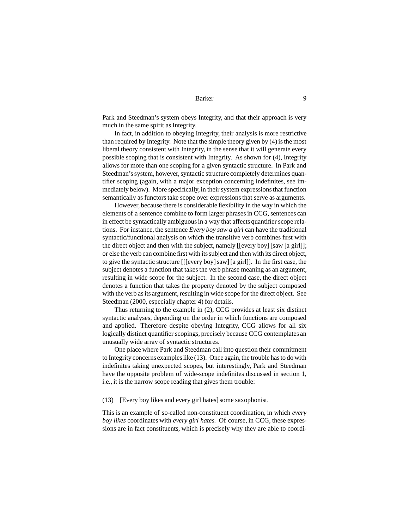Park and Steedman's system obeys Integrity, and that their approach is very much in the same spirit as Integrity.

In fact, in addition to obeying Integrity, their analysis is more restrictive than required by Integrity. Note that the simple theory given by (4) is the most liberal theory consistent with Integrity, in the sense that it will generate every possible scoping that is consistent with Integrity. As shown for (4), Integrity allows for more than one scoping for a given syntactic structure. In Park and Steedman's system, however, syntactic structure completely determines quantifier scoping (again, with a major exception concerning indefinites, see immediately below). More specifically, in their system expressions that function semantically as functors take scope over expressions that serve as arguments.

However, because there is considerable flexibility in the way in which the elements of a sentence combine to form larger phrases in CCG, sentences can in effect be syntactically ambiguous in a way that affects quantifier scope relations. For instance, the sentence *Every boy saw a girl* can have the traditional syntactic/functional analysis on which the transitive verb combines first with the direct object and then with the subject, namely [[every boy][saw [a girl]]; or else the verb can combine first with its subject and then with its direct object, to give the syntactic structure [[[every boy]saw][a girl]]. In the first case,the subject denotes a function that takes the verb phrase meaning as an argument, resulting in wide scope for the subject. In the second case, the direct object denotes a function that takes the property denoted by the subject composed with the verb as its argument, resulting in wide scope for the direct object. See Steedman (2000, especially chapter 4) for details.

Thus returning to the example in (2), CCG provides at least six distinct syntactic analyses, depending on the order in which functions are composed and applied. Therefore despite obeying Integrity, CCG allows for all six logically distinct quantifier scopings, precisely because CCG contemplates an unusually wide array of syntactic structures.

One place where Park and Steedman call into question their commitment to Integrity concerns examples like (13). Once again, the trouble has to do with indefinites taking unexpected scopes, but interestingly, Park and Steedman have the opposite problem of wide-scope indefinites discussed in section 1, i.e., it is the narrow scope reading that gives them trouble:

(13) [Every boy likes and every girl hates] some saxophonist.

This is an example of so-called non-constituent coordination, in which *every boy likes* coordinates with *every girl hates*. Of course, in CCG, these expressions are in fact constituents, which is precisely why they are able to coordi-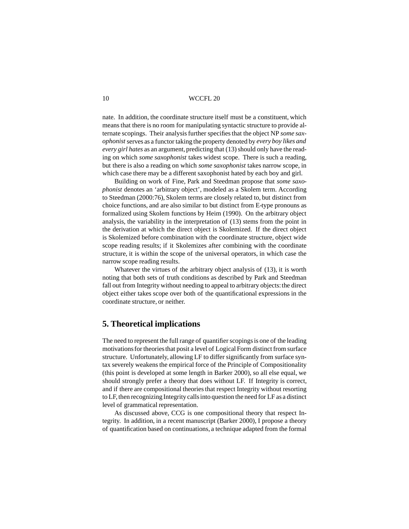nate. In addition, the coordinate structure itself must be a constituent, which meansthat there is no room for manipulating syntactic structure to provide alternate scopings. Their analysis further specifies that the object NP *some* sax*ophonist* serves as a functor taking the property denoted by *every boy likes and every girl hates* as an argument, predicting that (13) should only have the reading on which *some saxophonist* takes widest scope. There is such a reading, but there is also a reading on which *some saxophonist* takes narrow scope,in which case there may be a different saxophonist hated by each boy and girl.

Building on work of Fine, Park and Steedman propose that *some saxophonist* denotes an 'arbitrary object', modeled as a Skolem term. According to Steedman (2000:76), Skolem terms are closely related to, but distinct from choice functions, and are also similar to but distinct from E-type pronouns as formalized using Skolem functions by Heim (1990). On the arbitrary object analysis, the variability in the interpretation of (13) stems from the point in the derivation at which the direct object is Skolemized. If the direct object is Skolemized before combination with the coordinate structure, object wide scope reading results; if it Skolemizes after combining with the coordinate structure, it is within the scope of the universal operators, in which case the narrow scope reading results.

Whatever the virtues of the arbitrary object analysis of (13), it is worth noting that both sets of truth conditions as described by Park and Steedman fall out from Integrity without needing to appeal to arbitrary objects: the direct object either takes scope over both of the quantificational expressions in the coordinate structure, or neither.

### **5. Theoretical implications**

The need to represent the full range of quantifier scopings is one of the leading motivations for theories that posit a level of Logical Form distinct from surface structure. Unfortunately, allowing LF to differ significantly from surface syntax severely weakens the empirical force of the Principle of Compositionality (this point is developed at some length in Barker 2000), so all else equal, we should strongly prefer a theory that does without LF. If Integrity is correct, and if there are compositional theories that respect Integrity without resorting to LF, then recognizing Integrity calls into question the need for LF as a distinct level of grammatical representation.

As discussed above, CCG is one compositional theory that respect Integrity. In addition, in a recent manuscript (Barker 2000), I propose a theory of quantification based on continuations, a technique adapted from the formal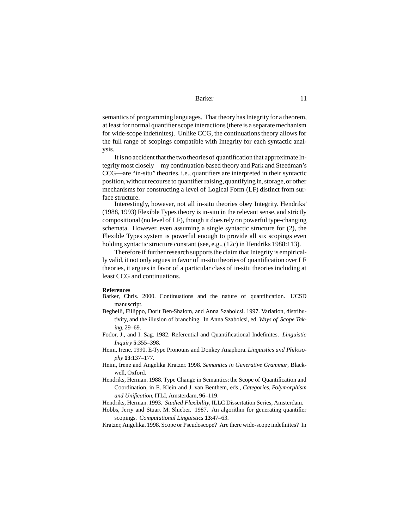semantics of programming languages. That theory has Integrity for a theorem, at least for normal quantifier scope interactions (there is a separate mechanism for wide-scope indefinites). Unlike CCG, the continuations theory allows for the full range of scopings compatible with Integrity for each syntactic analysis.

It is no accident that the two theories of quantification that approximate Integrity most closely—my continuation-based theory and Park and Steedman's CCG—are "in-situ" theories,i.e., quantifiers are interpreted in their syntactic position, without recourse to quantifier raising, quantifying in, storage, or other mechanisms for constructing a level of Logical Form (LF) distinct from surface structure.

Interestingly, however, not all in-situ theories obey Integrity. Hendriks' (1988, 1993) Flexible Types theory is in-situ in the relevant sense, and strictly compositional (no level of LF), though it does rely on powerful type-changing schemata. However, even assuming a single syntactic structure for (2), the Flexible Types system is powerful enough to provide all six scopings even holding syntactic structure constant (see, e.g., (12c) in Hendriks 1988:113).

Therefore if further research supports the claim that Integrity is empirically valid, it not only argues in favor of in-situ theories of quantification over LF theories, it argues in favor of a particular class of in-situ theories including at least CCG and continuations.

#### **References**

- Barker, Chris. 2000. Continuations and the nature of quantification. UCSD manuscript.
- Beghelli, Fillippo, Dorit Ben-Shalom, and Anna Szabolcsi. 1997. Variation, distributivity, and the illusion of branching. In Anna Szabolcsi, ed. *Ways of Scope Taking*, 29–69.
- Fodor, J., and I. Sag. 1982. Referential and Quantificational Indefinites. *Linguistic Inquiry* **5**:355–398.
- Heim, Irene. 1990. E-Type Pronouns and Donkey Anaphora. *Linguistics and Philosophy* **13**:137–177.
- Heim, Irene and Angelika Kratzer. 1998. *Semantics in Generative Grammar*, Blackwell, Oxford.
- Hendriks, Herman. 1988. Type Change in Semantics: the Scope of Quantification and Coordination, in E. Klein and J. van Benthem, eds., *Categories, Polymorphism and Unification*, ITLI, Amsterdam, 96–119.

Hendriks, Herman. 1993. *Studied Flexibility*, ILLC Dissertation Series, Amsterdam.

Hobbs, Jerry and Stuart M. Shieber. 1987. An algorithm for generating quantifier scopings. *Computational Linguistics* **13**:47–63.

Kratzer,Angelika. 1998. Scope or Pseudoscope? Are there wide-scope indefinites? In